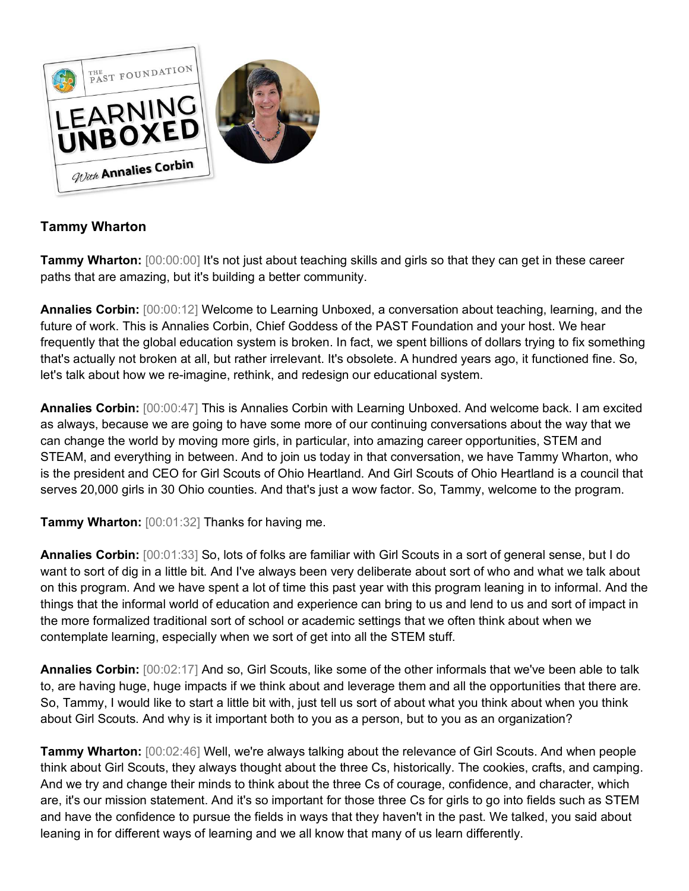

## **Tammy Wharton**

**Tammy Wharton:** [00:00:00] It's not just about teaching skills and girls so that they can get in these career paths that are amazing, but it's building a better community.

**Annalies Corbin:** [00:00:12] Welcome to Learning Unboxed, a conversation about teaching, learning, and the future of work. This is Annalies Corbin, Chief Goddess of the PAST Foundation and your host. We hear frequently that the global education system is broken. In fact, we spent billions of dollars trying to fix something that's actually not broken at all, but rather irrelevant. It's obsolete. A hundred years ago, it functioned fine. So, let's talk about how we re-imagine, rethink, and redesign our educational system.

**Annalies Corbin:** [00:00:47] This is Annalies Corbin with Learning Unboxed. And welcome back. I am excited as always, because we are going to have some more of our continuing conversations about the way that we can change the world by moving more girls, in particular, into amazing career opportunities, STEM and STEAM, and everything in between. And to join us today in that conversation, we have Tammy Wharton, who is the president and CEO for Girl Scouts of Ohio Heartland. And Girl Scouts of Ohio Heartland is a council that serves 20,000 girls in 30 Ohio counties. And that's just a wow factor. So, Tammy, welcome to the program.

**Tammy Wharton:** [00:01:32] Thanks for having me.

**Annalies Corbin:** [00:01:33] So, lots of folks are familiar with Girl Scouts in a sort of general sense, but I do want to sort of dig in a little bit. And I've always been very deliberate about sort of who and what we talk about on this program. And we have spent a lot of time this past year with this program leaning in to informal. And the things that the informal world of education and experience can bring to us and lend to us and sort of impact in the more formalized traditional sort of school or academic settings that we often think about when we contemplate learning, especially when we sort of get into all the STEM stuff.

**Annalies Corbin:** [00:02:17] And so, Girl Scouts, like some of the other informals that we've been able to talk to, are having huge, huge impacts if we think about and leverage them and all the opportunities that there are. So, Tammy, I would like to start a little bit with, just tell us sort of about what you think about when you think about Girl Scouts. And why is it important both to you as a person, but to you as an organization?

**Tammy Wharton:** [00:02:46] Well, we're always talking about the relevance of Girl Scouts. And when people think about Girl Scouts, they always thought about the three Cs, historically. The cookies, crafts, and camping. And we try and change their minds to think about the three Cs of courage, confidence, and character, which are, it's our mission statement. And it's so important for those three Cs for girls to go into fields such as STEM and have the confidence to pursue the fields in ways that they haven't in the past. We talked, you said about leaning in for different ways of learning and we all know that many of us learn differently.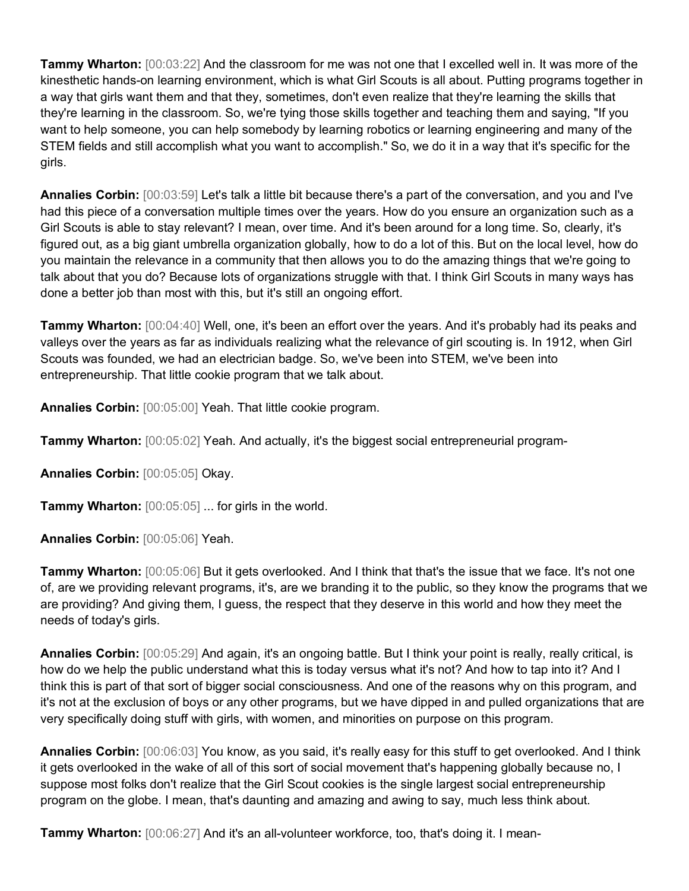**Tammy Wharton:** [00:03:22] And the classroom for me was not one that I excelled well in. It was more of the kinesthetic hands-on learning environment, which is what Girl Scouts is all about. Putting programs together in a way that girls want them and that they, sometimes, don't even realize that they're learning the skills that they're learning in the classroom. So, we're tying those skills together and teaching them and saying, "If you want to help someone, you can help somebody by learning robotics or learning engineering and many of the STEM fields and still accomplish what you want to accomplish." So, we do it in a way that it's specific for the girls.

**Annalies Corbin:** [00:03:59] Let's talk a little bit because there's a part of the conversation, and you and I've had this piece of a conversation multiple times over the years. How do you ensure an organization such as a Girl Scouts is able to stay relevant? I mean, over time. And it's been around for a long time. So, clearly, it's figured out, as a big giant umbrella organization globally, how to do a lot of this. But on the local level, how do you maintain the relevance in a community that then allows you to do the amazing things that we're going to talk about that you do? Because lots of organizations struggle with that. I think Girl Scouts in many ways has done a better job than most with this, but it's still an ongoing effort.

**Tammy Wharton:** [00:04:40] Well, one, it's been an effort over the years. And it's probably had its peaks and valleys over the years as far as individuals realizing what the relevance of girl scouting is. In 1912, when Girl Scouts was founded, we had an electrician badge. So, we've been into STEM, we've been into entrepreneurship. That little cookie program that we talk about.

**Annalies Corbin:** [00:05:00] Yeah. That little cookie program.

**Tammy Wharton:** [00:05:02] Yeah. And actually, it's the biggest social entrepreneurial program-

**Annalies Corbin:** [00:05:05] Okay.

**Tammy Wharton:** [00:05:05] ... for girls in the world.

**Annalies Corbin:** [00:05:06] Yeah.

**Tammy Wharton:** [00:05:06] But it gets overlooked. And I think that that's the issue that we face. It's not one of, are we providing relevant programs, it's, are we branding it to the public, so they know the programs that we are providing? And giving them, I guess, the respect that they deserve in this world and how they meet the needs of today's girls.

**Annalies Corbin:** [00:05:29] And again, it's an ongoing battle. But I think your point is really, really critical, is how do we help the public understand what this is today versus what it's not? And how to tap into it? And I think this is part of that sort of bigger social consciousness. And one of the reasons why on this program, and it's not at the exclusion of boys or any other programs, but we have dipped in and pulled organizations that are very specifically doing stuff with girls, with women, and minorities on purpose on this program.

**Annalies Corbin:** [00:06:03] You know, as you said, it's really easy for this stuff to get overlooked. And I think it gets overlooked in the wake of all of this sort of social movement that's happening globally because no, I suppose most folks don't realize that the Girl Scout cookies is the single largest social entrepreneurship program on the globe. I mean, that's daunting and amazing and awing to say, much less think about.

**Tammy Wharton:** [00:06:27] And it's an all-volunteer workforce, too, that's doing it. I mean-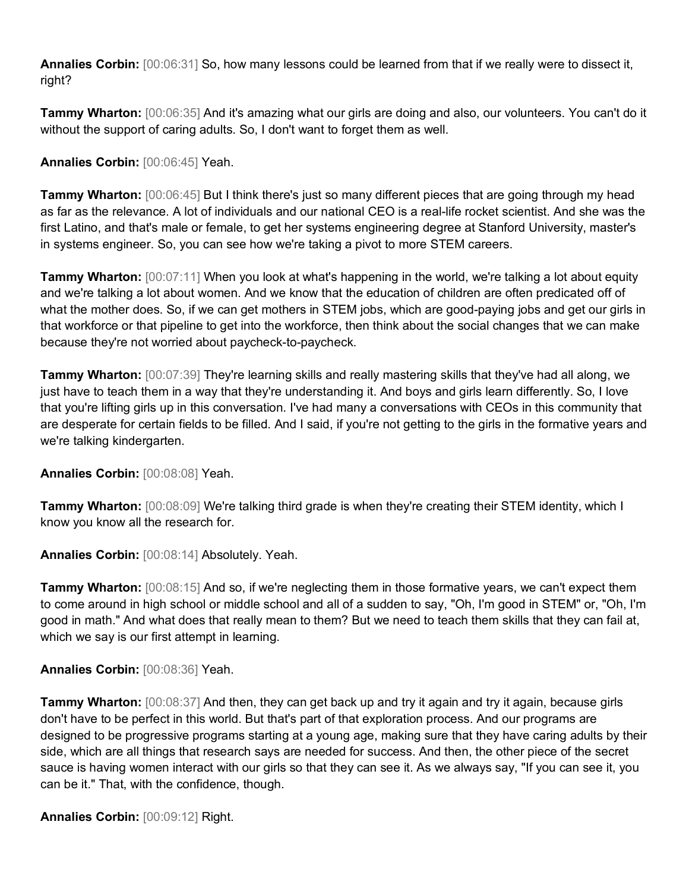**Annalies Corbin:** [00:06:31] So, how many lessons could be learned from that if we really were to dissect it, right?

**Tammy Wharton:** [00:06:35] And it's amazing what our girls are doing and also, our volunteers. You can't do it without the support of caring adults. So, I don't want to forget them as well.

**Annalies Corbin:** [00:06:45] Yeah.

**Tammy Wharton:**  $[00:06:45]$  But I think there's just so many different pieces that are going through my head as far as the relevance. A lot of individuals and our national CEO is a real-life rocket scientist. And she was the first Latino, and that's male or female, to get her systems engineering degree at Stanford University, master's in systems engineer. So, you can see how we're taking a pivot to more STEM careers.

**Tammy Wharton:** [00:07:11] When you look at what's happening in the world, we're talking a lot about equity and we're talking a lot about women. And we know that the education of children are often predicated off of what the mother does. So, if we can get mothers in STEM jobs, which are good-paying jobs and get our girls in that workforce or that pipeline to get into the workforce, then think about the social changes that we can make because they're not worried about paycheck-to-paycheck.

**Tammy Wharton:** [00:07:39] They're learning skills and really mastering skills that they've had all along, we just have to teach them in a way that they're understanding it. And boys and girls learn differently. So, I love that you're lifting girls up in this conversation. I've had many a conversations with CEOs in this community that are desperate for certain fields to be filled. And I said, if you're not getting to the girls in the formative years and we're talking kindergarten.

**Annalies Corbin:** [00:08:08] Yeah.

**Tammy Wharton:** [00:08:09] We're talking third grade is when they're creating their STEM identity, which I know you know all the research for.

**Annalies Corbin:** [00:08:14] Absolutely. Yeah.

**Tammy Wharton:**  $[00:08:15]$  And so, if we're neglecting them in those formative years, we can't expect them to come around in high school or middle school and all of a sudden to say, "Oh, I'm good in STEM" or, "Oh, I'm good in math." And what does that really mean to them? But we need to teach them skills that they can fail at, which we say is our first attempt in learning.

## **Annalies Corbin:** [00:08:36] Yeah.

**Tammy Wharton:** [00:08:37] And then, they can get back up and try it again and try it again, because girls don't have to be perfect in this world. But that's part of that exploration process. And our programs are designed to be progressive programs starting at a young age, making sure that they have caring adults by their side, which are all things that research says are needed for success. And then, the other piece of the secret sauce is having women interact with our girls so that they can see it. As we always say, "If you can see it, you can be it." That, with the confidence, though.

**Annalies Corbin:** [00:09:12] Right.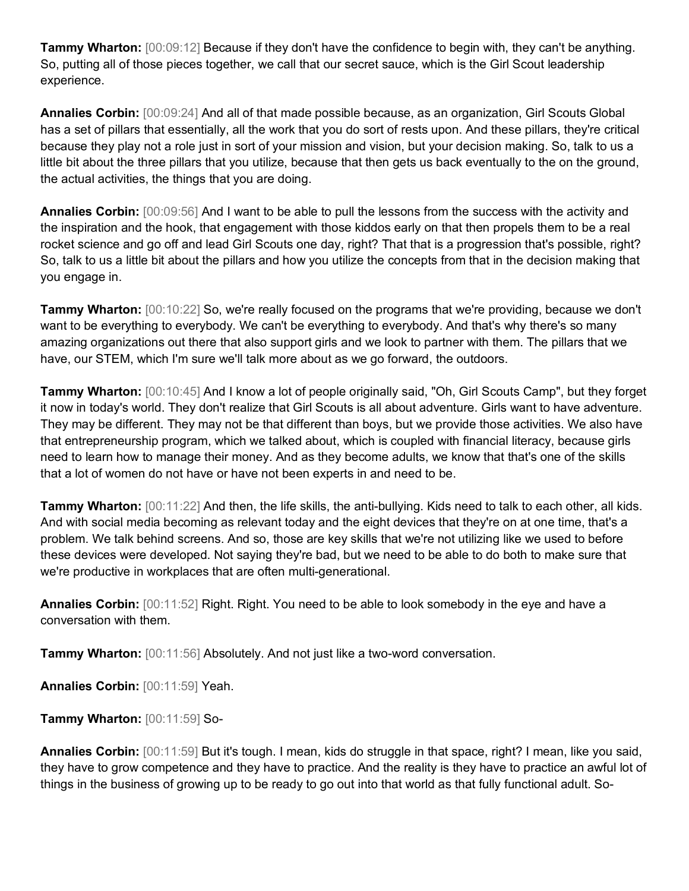**Tammy Wharton:** [00:09:12] Because if they don't have the confidence to begin with, they can't be anything. So, putting all of those pieces together, we call that our secret sauce, which is the Girl Scout leadership experience.

**Annalies Corbin:** [00:09:24] And all of that made possible because, as an organization, Girl Scouts Global has a set of pillars that essentially, all the work that you do sort of rests upon. And these pillars, they're critical because they play not a role just in sort of your mission and vision, but your decision making. So, talk to us a little bit about the three pillars that you utilize, because that then gets us back eventually to the on the ground, the actual activities, the things that you are doing.

**Annalies Corbin:** [00:09:56] And I want to be able to pull the lessons from the success with the activity and the inspiration and the hook, that engagement with those kiddos early on that then propels them to be a real rocket science and go off and lead Girl Scouts one day, right? That that is a progression that's possible, right? So, talk to us a little bit about the pillars and how you utilize the concepts from that in the decision making that you engage in.

**Tammy Wharton:** [00:10:22] So, we're really focused on the programs that we're providing, because we don't want to be everything to everybody. We can't be everything to everybody. And that's why there's so many amazing organizations out there that also support girls and we look to partner with them. The pillars that we have, our STEM, which I'm sure we'll talk more about as we go forward, the outdoors.

**Tammy Wharton:** [00:10:45] And I know a lot of people originally said, "Oh, Girl Scouts Camp", but they forget it now in today's world. They don't realize that Girl Scouts is all about adventure. Girls want to have adventure. They may be different. They may not be that different than boys, but we provide those activities. We also have that entrepreneurship program, which we talked about, which is coupled with financial literacy, because girls need to learn how to manage their money. And as they become adults, we know that that's one of the skills that a lot of women do not have or have not been experts in and need to be.

**Tammy Wharton:** [00:11:22] And then, the life skills, the anti-bullying. Kids need to talk to each other, all kids. And with social media becoming as relevant today and the eight devices that they're on at one time, that's a problem. We talk behind screens. And so, those are key skills that we're not utilizing like we used to before these devices were developed. Not saying they're bad, but we need to be able to do both to make sure that we're productive in workplaces that are often multi-generational.

**Annalies Corbin:** [00:11:52] Right. Right. You need to be able to look somebody in the eye and have a conversation with them.

**Tammy Wharton:** [00:11:56] Absolutely. And not just like a two-word conversation.

**Annalies Corbin:** [00:11:59] Yeah.

**Tammy Wharton:** [00:11:59] So-

**Annalies Corbin:** [00:11:59] But it's tough. I mean, kids do struggle in that space, right? I mean, like you said, they have to grow competence and they have to practice. And the reality is they have to practice an awful lot of things in the business of growing up to be ready to go out into that world as that fully functional adult. So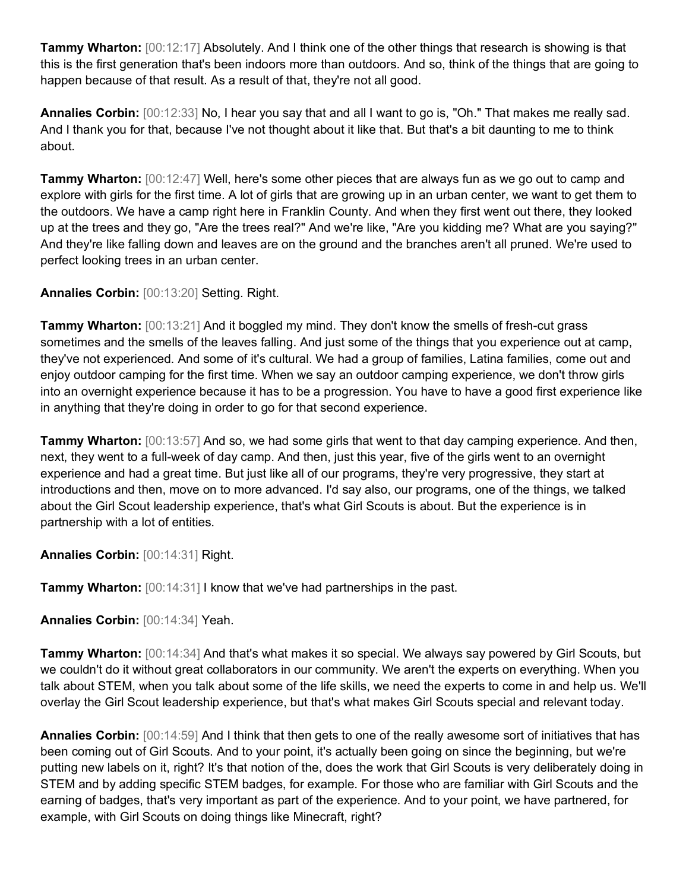**Tammy Wharton:**  $[00:12:17]$  Absolutely. And I think one of the other things that research is showing is that this is the first generation that's been indoors more than outdoors. And so, think of the things that are going to happen because of that result. As a result of that, they're not all good.

**Annalies Corbin:** [00:12:33] No, I hear you say that and all I want to go is, "Oh." That makes me really sad. And I thank you for that, because I've not thought about it like that. But that's a bit daunting to me to think about.

**Tammy Wharton:** [00:12:47] Well, here's some other pieces that are always fun as we go out to camp and explore with girls for the first time. A lot of girls that are growing up in an urban center, we want to get them to the outdoors. We have a camp right here in Franklin County. And when they first went out there, they looked up at the trees and they go, "Are the trees real?" And we're like, "Are you kidding me? What are you saying?" And they're like falling down and leaves are on the ground and the branches aren't all pruned. We're used to perfect looking trees in an urban center.

**Annalies Corbin:** [00:13:20] Setting. Right.

**Tammy Wharton:** [00:13:21] And it boggled my mind. They don't know the smells of fresh-cut grass sometimes and the smells of the leaves falling. And just some of the things that you experience out at camp, they've not experienced. And some of it's cultural. We had a group of families, Latina families, come out and enjoy outdoor camping for the first time. When we say an outdoor camping experience, we don't throw girls into an overnight experience because it has to be a progression. You have to have a good first experience like in anything that they're doing in order to go for that second experience.

**Tammy Wharton:** [00:13:57] And so, we had some girls that went to that day camping experience. And then, next, they went to a full-week of day camp. And then, just this year, five of the girls went to an overnight experience and had a great time. But just like all of our programs, they're very progressive, they start at introductions and then, move on to more advanced. I'd say also, our programs, one of the things, we talked about the Girl Scout leadership experience, that's what Girl Scouts is about. But the experience is in partnership with a lot of entities.

**Annalies Corbin:** [00:14:31] Right.

**Tammy Wharton:** [00:14:31] I know that we've had partnerships in the past.

**Annalies Corbin:** [00:14:34] Yeah.

**Tammy Wharton:** [00:14:34] And that's what makes it so special. We always say powered by Girl Scouts, but we couldn't do it without great collaborators in our community. We aren't the experts on everything. When you talk about STEM, when you talk about some of the life skills, we need the experts to come in and help us. We'll overlay the Girl Scout leadership experience, but that's what makes Girl Scouts special and relevant today.

**Annalies Corbin:** [00:14:59] And I think that then gets to one of the really awesome sort of initiatives that has been coming out of Girl Scouts. And to your point, it's actually been going on since the beginning, but we're putting new labels on it, right? It's that notion of the, does the work that Girl Scouts is very deliberately doing in STEM and by adding specific STEM badges, for example. For those who are familiar with Girl Scouts and the earning of badges, that's very important as part of the experience. And to your point, we have partnered, for example, with Girl Scouts on doing things like Minecraft, right?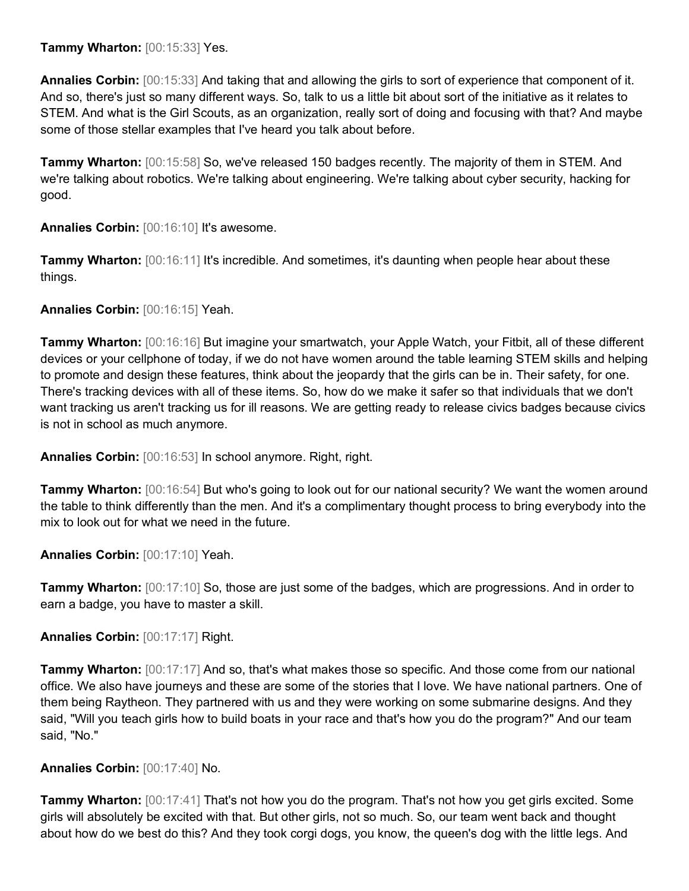**Tammy Wharton:** [00:15:33] Yes.

**Annalies Corbin:** [00:15:33] And taking that and allowing the girls to sort of experience that component of it. And so, there's just so many different ways. So, talk to us a little bit about sort of the initiative as it relates to STEM. And what is the Girl Scouts, as an organization, really sort of doing and focusing with that? And maybe some of those stellar examples that I've heard you talk about before.

**Tammy Wharton:** [00:15:58] So, we've released 150 badges recently. The majority of them in STEM. And we're talking about robotics. We're talking about engineering. We're talking about cyber security, hacking for good.

**Annalies Corbin:** [00:16:10] It's awesome.

**Tammy Wharton:**  $[00:16:11]$  It's incredible. And sometimes, it's daunting when people hear about these things.

**Annalies Corbin:** [00:16:15] Yeah.

**Tammy Wharton:** [00:16:16] But imagine your smartwatch, your Apple Watch, your Fitbit, all of these different devices or your cellphone of today, if we do not have women around the table learning STEM skills and helping to promote and design these features, think about the jeopardy that the girls can be in. Their safety, for one. There's tracking devices with all of these items. So, how do we make it safer so that individuals that we don't want tracking us aren't tracking us for ill reasons. We are getting ready to release civics badges because civics is not in school as much anymore.

**Annalies Corbin:** [00:16:53] In school anymore. Right, right.

**Tammy Wharton:** [00:16:54] But who's going to look out for our national security? We want the women around the table to think differently than the men. And it's a complimentary thought process to bring everybody into the mix to look out for what we need in the future.

**Annalies Corbin:** [00:17:10] Yeah.

**Tammy Wharton:** [00:17:10] So, those are just some of the badges, which are progressions. And in order to earn a badge, you have to master a skill.

**Annalies Corbin:** [00:17:17] Right.

**Tammy Wharton:** [00:17:17] And so, that's what makes those so specific. And those come from our national office. We also have journeys and these are some of the stories that I love. We have national partners. One of them being Raytheon. They partnered with us and they were working on some submarine designs. And they said, "Will you teach girls how to build boats in your race and that's how you do the program?" And our team said, "No."

**Annalies Corbin:** [00:17:40] No.

**Tammy Wharton:**  $[00:17:41]$  That's not how you do the program. That's not how you get girls excited. Some girls will absolutely be excited with that. But other girls, not so much. So, our team went back and thought about how do we best do this? And they took corgi dogs, you know, the queen's dog with the little legs. And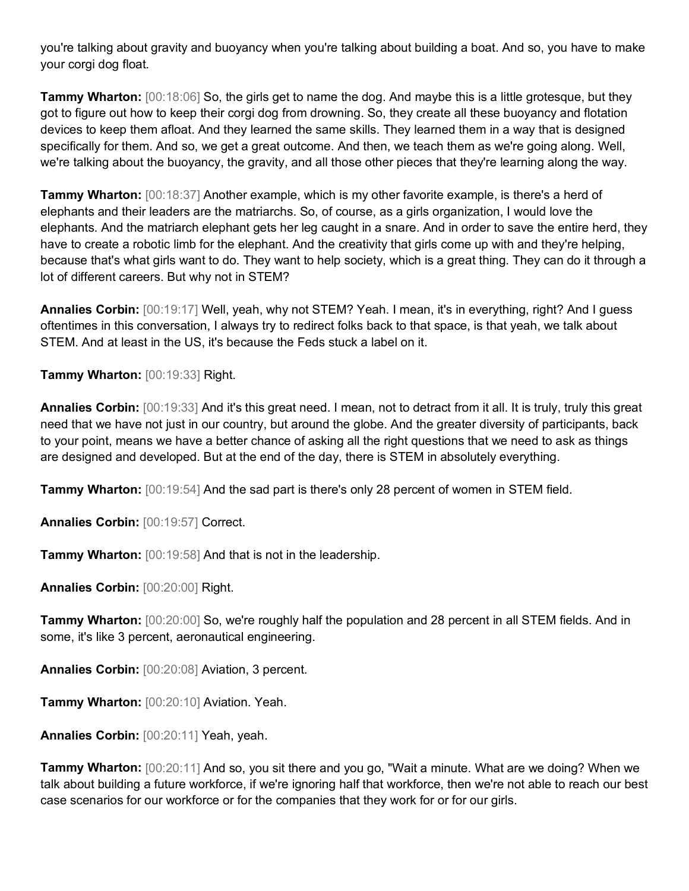you're talking about gravity and buoyancy when you're talking about building a boat. And so, you have to make your corgi dog float.

**Tammy Wharton:**  $[00:18:06]$  So, the girls get to name the dog. And maybe this is a little grotesque, but they got to figure out how to keep their corgi dog from drowning. So, they create all these buoyancy and flotation devices to keep them afloat. And they learned the same skills. They learned them in a way that is designed specifically for them. And so, we get a great outcome. And then, we teach them as we're going along. Well, we're talking about the buoyancy, the gravity, and all those other pieces that they're learning along the way.

**Tammy Wharton:** [00:18:37] Another example, which is my other favorite example, is there's a herd of elephants and their leaders are the matriarchs. So, of course, as a girls organization, I would love the elephants. And the matriarch elephant gets her leg caught in a snare. And in order to save the entire herd, they have to create a robotic limb for the elephant. And the creativity that girls come up with and they're helping, because that's what girls want to do. They want to help society, which is a great thing. They can do it through a lot of different careers. But why not in STEM?

**Annalies Corbin:** [00:19:17] Well, yeah, why not STEM? Yeah. I mean, it's in everything, right? And I guess oftentimes in this conversation, I always try to redirect folks back to that space, is that yeah, we talk about STEM. And at least in the US, it's because the Feds stuck a label on it.

**Tammy Wharton:** [00:19:33] Right.

**Annalies Corbin:** [00:19:33] And it's this great need. I mean, not to detract from it all. It is truly, truly this great need that we have not just in our country, but around the globe. And the greater diversity of participants, back to your point, means we have a better chance of asking all the right questions that we need to ask as things are designed and developed. But at the end of the day, there is STEM in absolutely everything.

**Tammy Wharton:** [00:19:54] And the sad part is there's only 28 percent of women in STEM field.

**Annalies Corbin:** [00:19:57] Correct.

**Tammy Wharton:** [00:19:58] And that is not in the leadership.

**Annalies Corbin:** [00:20:00] Right.

**Tammy Wharton:** [00:20:00] So, we're roughly half the population and 28 percent in all STEM fields. And in some, it's like 3 percent, aeronautical engineering.

**Annalies Corbin:** [00:20:08] Aviation, 3 percent.

**Tammy Wharton:** [00:20:10] Aviation. Yeah.

**Annalies Corbin:** [00:20:11] Yeah, yeah.

**Tammy Wharton:** [00:20:11] And so, you sit there and you go, "Wait a minute. What are we doing? When we talk about building a future workforce, if we're ignoring half that workforce, then we're not able to reach our best case scenarios for our workforce or for the companies that they work for or for our girls.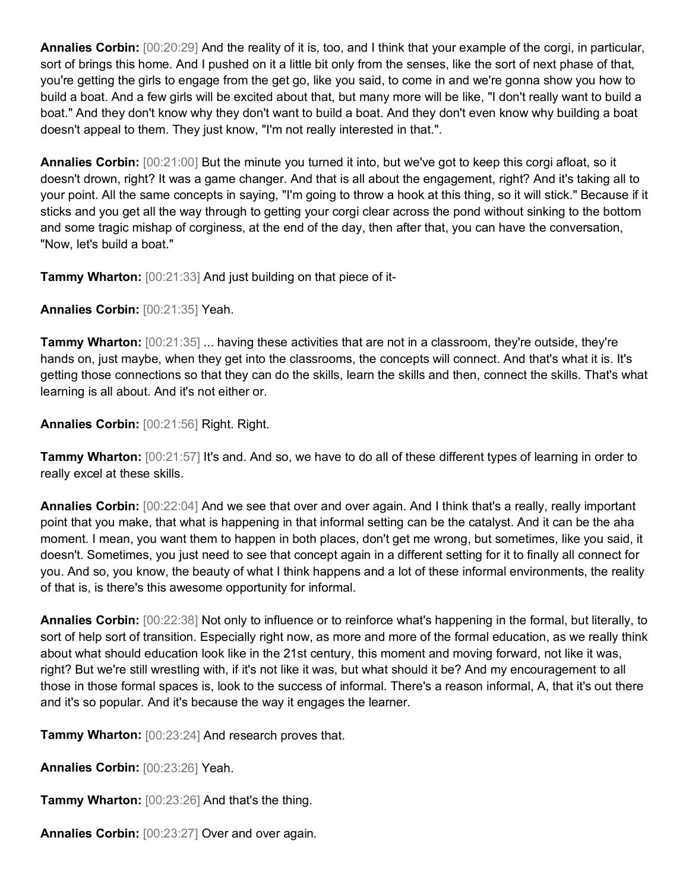**Annalies Corbin:** [00:20:29] And the reality of it is, too, and I think that your example of the corgi, in particular, sort of brings this home. And I pushed on it a little bit only from the senses, like the sort of next phase of that, you're getting the girls to engage from the get go, like you said, to come in and we're gonna show you how to build a boat. And a few girls will be excited about that, but many more will be like, "I don't really want to build a boat." And they don't know why they don't want to build a boat. And they don't even know why building a boat doesn't appeal to them. They just know, "I'm not really interested in that.".

**Annalies Corbin:** [00:21:00] But the minute you turned it into, but we've got to keep this corgi afloat, so it doesn't drown, right? It was a game changer. And that is all about the engagement, right? And it's taking all to your point. All the same concepts in saying, "I'm going to throw a hook at this thing, so it will stick." Because if it sticks and you get all the way through to getting your corgi clear across the pond without sinking to the bottom and some tragic mishap of corginess, at the end of the day, then after that, you can have the conversation, "Now, let's build a boat."

**Tammy Wharton:** [00:21:33] And just building on that piece of it-

**Annalies Corbin:** [00:21:35] Yeah.

**Tammy Wharton:**  $[00:21:35]$  ... having these activities that are not in a classroom, they're outside, they're hands on, just maybe, when they get into the classrooms, the concepts will connect. And that's what it is. It's getting those connections so that they can do the skills, learn the skills and then, connect the skills. That's what learning is all about. And it's not either or.

**Annalies Corbin:** [00:21:56] Right. Right.

**Tammy Wharton:** [00:21:57] It's and. And so, we have to do all of these different types of learning in order to really excel at these skills.

**Annalies Corbin:** [00:22:04] And we see that over and over again. And I think that's a really, really important point that you make, that what is happening in that informal setting can be the catalyst. And it can be the aha moment. I mean, you want them to happen in both places, don't get me wrong, but sometimes, like you said, it doesn't. Sometimes, you just need to see that concept again in a different setting for it to finally all connect for you. And so, you know, the beauty of what I think happens and a lot of these informal environments, the reality of that is, is there's this awesome opportunity for informal.

**Annalies Corbin:** [00:22:38] Not only to influence or to reinforce what's happening in the formal, but literally, to sort of help sort of transition. Especially right now, as more and more of the formal education, as we really think about what should education look like in the 21st century, this moment and moving forward, not like it was, right? But we're still wrestling with, if it's not like it was, but what should it be? And my encouragement to all those in those formal spaces is, look to the success of informal. There's a reason informal, A, that it's out there and it's so popular. And it's because the way it engages the learner.

**Tammy Wharton:** [00:23:24] And research proves that.

**Annalies Corbin:** [00:23:26] Yeah.

**Tammy Wharton:** [00:23:26] And that's the thing.

**Annalies Corbin:** [00:23:27] Over and over again.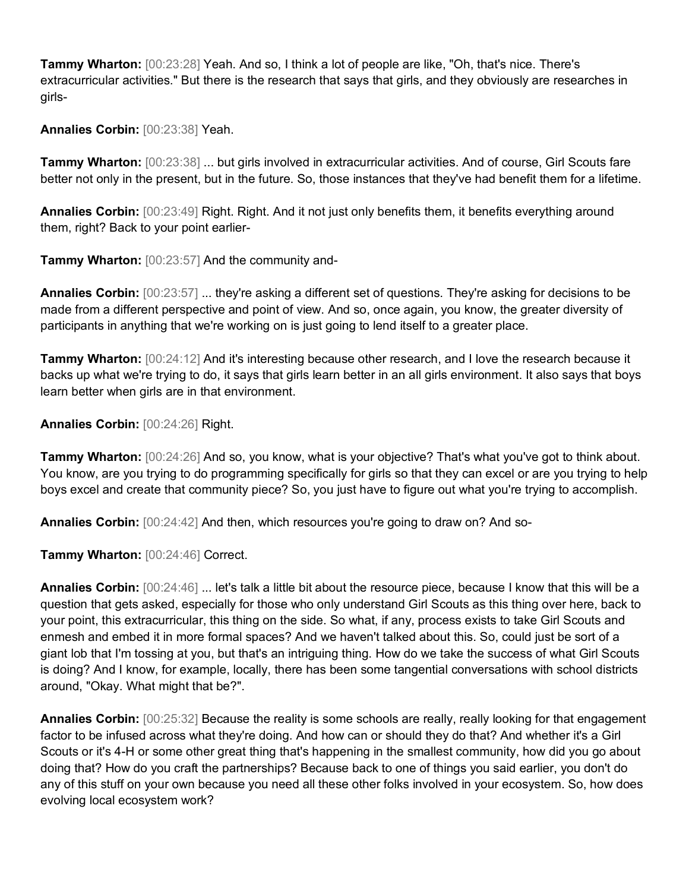**Tammy Wharton:** [00:23:28] Yeah. And so, I think a lot of people are like, "Oh, that's nice. There's extracurricular activities." But there is the research that says that girls, and they obviously are researches in girls-

## **Annalies Corbin:** [00:23:38] Yeah.

**Tammy Wharton:** [00:23:38] ... but girls involved in extracurricular activities. And of course, Girl Scouts fare better not only in the present, but in the future. So, those instances that they've had benefit them for a lifetime.

**Annalies Corbin:** [00:23:49] Right. Right. And it not just only benefits them, it benefits everything around them, right? Back to your point earlier-

**Tammy Wharton:** [00:23:57] And the community and-

**Annalies Corbin:** [00:23:57] ... they're asking a different set of questions. They're asking for decisions to be made from a different perspective and point of view. And so, once again, you know, the greater diversity of participants in anything that we're working on is just going to lend itself to a greater place.

**Tammy Wharton:** [00:24:12] And it's interesting because other research, and I love the research because it backs up what we're trying to do, it says that girls learn better in an all girls environment. It also says that boys learn better when girls are in that environment.

**Annalies Corbin:** [00:24:26] Right.

**Tammy Wharton:** [00:24:26] And so, you know, what is your objective? That's what you've got to think about. You know, are you trying to do programming specifically for girls so that they can excel or are you trying to help boys excel and create that community piece? So, you just have to figure out what you're trying to accomplish.

**Annalies Corbin:** [00:24:42] And then, which resources you're going to draw on? And so-

**Tammy Wharton:** [00:24:46] Correct.

**Annalies Corbin:** [00:24:46] ... let's talk a little bit about the resource piece, because I know that this will be a question that gets asked, especially for those who only understand Girl Scouts as this thing over here, back to your point, this extracurricular, this thing on the side. So what, if any, process exists to take Girl Scouts and enmesh and embed it in more formal spaces? And we haven't talked about this. So, could just be sort of a giant lob that I'm tossing at you, but that's an intriguing thing. How do we take the success of what Girl Scouts is doing? And I know, for example, locally, there has been some tangential conversations with school districts around, "Okay. What might that be?".

**Annalies Corbin:** [00:25:32] Because the reality is some schools are really, really looking for that engagement factor to be infused across what they're doing. And how can or should they do that? And whether it's a Girl Scouts or it's 4-H or some other great thing that's happening in the smallest community, how did you go about doing that? How do you craft the partnerships? Because back to one of things you said earlier, you don't do any of this stuff on your own because you need all these other folks involved in your ecosystem. So, how does evolving local ecosystem work?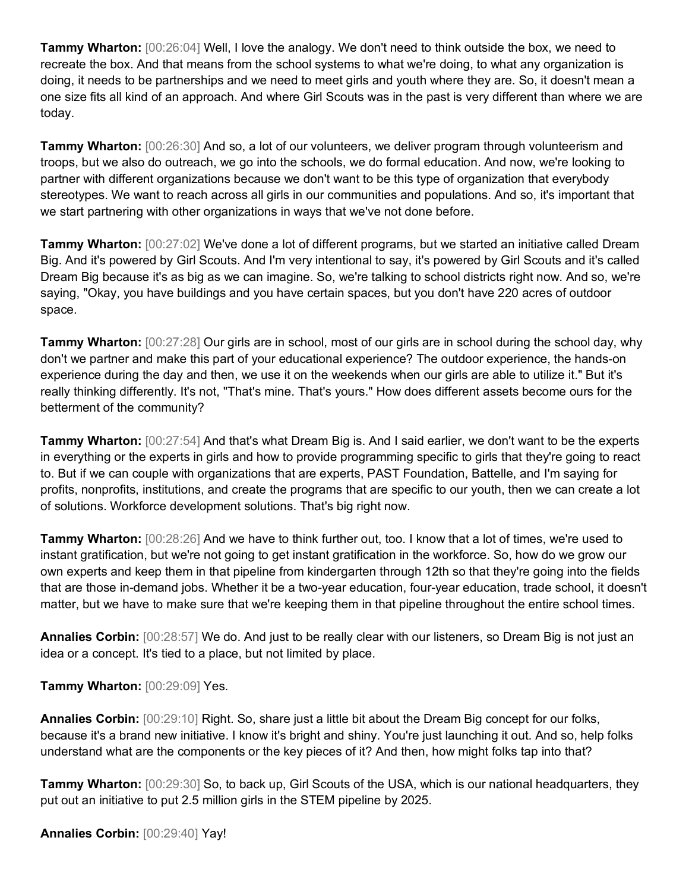**Tammy Wharton:** [00:26:04] Well, I love the analogy. We don't need to think outside the box, we need to recreate the box. And that means from the school systems to what we're doing, to what any organization is doing, it needs to be partnerships and we need to meet girls and youth where they are. So, it doesn't mean a one size fits all kind of an approach. And where Girl Scouts was in the past is very different than where we are today.

**Tammy Wharton:** [00:26:30] And so, a lot of our volunteers, we deliver program through volunteerism and troops, but we also do outreach, we go into the schools, we do formal education. And now, we're looking to partner with different organizations because we don't want to be this type of organization that everybody stereotypes. We want to reach across all girls in our communities and populations. And so, it's important that we start partnering with other organizations in ways that we've not done before.

**Tammy Wharton:** [00:27:02] We've done a lot of different programs, but we started an initiative called Dream Big. And it's powered by Girl Scouts. And I'm very intentional to say, it's powered by Girl Scouts and it's called Dream Big because it's as big as we can imagine. So, we're talking to school districts right now. And so, we're saying, "Okay, you have buildings and you have certain spaces, but you don't have 220 acres of outdoor space.

**Tammy Wharton:** [00:27:28] Our girls are in school, most of our girls are in school during the school day, why don't we partner and make this part of your educational experience? The outdoor experience, the hands-on experience during the day and then, we use it on the weekends when our girls are able to utilize it." But it's really thinking differently. It's not, "That's mine. That's yours." How does different assets become ours for the betterment of the community?

**Tammy Wharton:** [00:27:54] And that's what Dream Big is. And I said earlier, we don't want to be the experts in everything or the experts in girls and how to provide programming specific to girls that they're going to react to. But if we can couple with organizations that are experts, PAST Foundation, Battelle, and I'm saying for profits, nonprofits, institutions, and create the programs that are specific to our youth, then we can create a lot of solutions. Workforce development solutions. That's big right now.

**Tammy Wharton:** [00:28:26] And we have to think further out, too. I know that a lot of times, we're used to instant gratification, but we're not going to get instant gratification in the workforce. So, how do we grow our own experts and keep them in that pipeline from kindergarten through 12th so that they're going into the fields that are those in-demand jobs. Whether it be a two-year education, four-year education, trade school, it doesn't matter, but we have to make sure that we're keeping them in that pipeline throughout the entire school times.

**Annalies Corbin:** [00:28:57] We do. And just to be really clear with our listeners, so Dream Big is not just an idea or a concept. It's tied to a place, but not limited by place.

**Tammy Wharton:** [00:29:09] Yes.

**Annalies Corbin:** [00:29:10] Right. So, share just a little bit about the Dream Big concept for our folks, because it's a brand new initiative. I know it's bright and shiny. You're just launching it out. And so, help folks understand what are the components or the key pieces of it? And then, how might folks tap into that?

**Tammy Wharton:** [00:29:30] So, to back up, Girl Scouts of the USA, which is our national headquarters, they put out an initiative to put 2.5 million girls in the STEM pipeline by 2025.

**Annalies Corbin:** [00:29:40] Yay!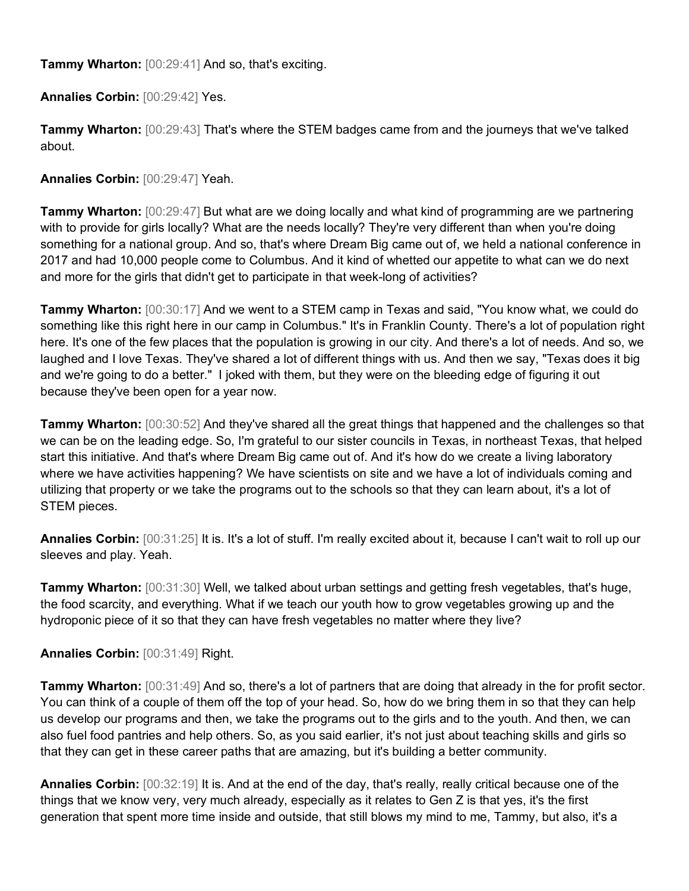**Tammy Wharton:** [00:29:41] And so, that's exciting.

**Annalies Corbin:** [00:29:42] Yes.

**Tammy Wharton:** [00:29:43] That's where the STEM badges came from and the journeys that we've talked about.

**Annalies Corbin:** [00:29:47] Yeah.

**Tammy Wharton:** [00:29:47] But what are we doing locally and what kind of programming are we partnering with to provide for girls locally? What are the needs locally? They're very different than when you're doing something for a national group. And so, that's where Dream Big came out of, we held a national conference in 2017 and had 10,000 people come to Columbus. And it kind of whetted our appetite to what can we do next and more for the girls that didn't get to participate in that week-long of activities?

**Tammy Wharton:** [00:30:17] And we went to a STEM camp in Texas and said, "You know what, we could do something like this right here in our camp in Columbus." It's in Franklin County. There's a lot of population right here. It's one of the few places that the population is growing in our city. And there's a lot of needs. And so, we laughed and I love Texas. They've shared a lot of different things with us. And then we say, "Texas does it big and we're going to do a better." I joked with them, but they were on the bleeding edge of figuring it out because they've been open for a year now.

**Tammy Wharton:** [00:30:52] And they've shared all the great things that happened and the challenges so that we can be on the leading edge. So, I'm grateful to our sister councils in Texas, in northeast Texas, that helped start this initiative. And that's where Dream Big came out of. And it's how do we create a living laboratory where we have activities happening? We have scientists on site and we have a lot of individuals coming and utilizing that property or we take the programs out to the schools so that they can learn about, it's a lot of STEM pieces.

**Annalies Corbin:** [00:31:25] It is. It's a lot of stuff. I'm really excited about it, because I can't wait to roll up our sleeves and play. Yeah.

**Tammy Wharton:** [00:31:30] Well, we talked about urban settings and getting fresh vegetables, that's huge, the food scarcity, and everything. What if we teach our youth how to grow vegetables growing up and the hydroponic piece of it so that they can have fresh vegetables no matter where they live?

**Annalies Corbin:** [00:31:49] Right.

**Tammy Wharton:** [00:31:49] And so, there's a lot of partners that are doing that already in the for profit sector. You can think of a couple of them off the top of your head. So, how do we bring them in so that they can help us develop our programs and then, we take the programs out to the girls and to the youth. And then, we can also fuel food pantries and help others. So, as you said earlier, it's not just about teaching skills and girls so that they can get in these career paths that are amazing, but it's building a better community.

**Annalies Corbin:** [00:32:19] It is. And at the end of the day, that's really, really critical because one of the things that we know very, very much already, especially as it relates to Gen Z is that yes, it's the first generation that spent more time inside and outside, that still blows my mind to me, Tammy, but also, it's a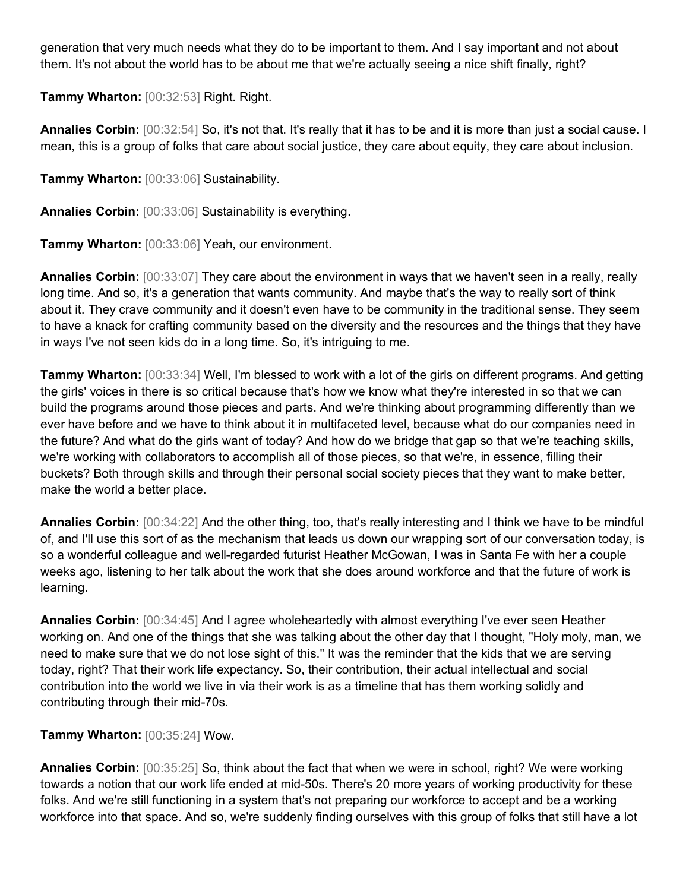generation that very much needs what they do to be important to them. And I say important and not about them. It's not about the world has to be about me that we're actually seeing a nice shift finally, right?

**Tammy Wharton:** [00:32:53] Right. Right.

**Annalies Corbin:** [00:32:54] So, it's not that. It's really that it has to be and it is more than just a social cause. I mean, this is a group of folks that care about social justice, they care about equity, they care about inclusion.

**Tammy Wharton:** [00:33:06] Sustainability.

**Annalies Corbin:** [00:33:06] Sustainability is everything.

**Tammy Wharton:** [00:33:06] Yeah, our environment.

**Annalies Corbin:** [00:33:07] They care about the environment in ways that we haven't seen in a really, really long time. And so, it's a generation that wants community. And maybe that's the way to really sort of think about it. They crave community and it doesn't even have to be community in the traditional sense. They seem to have a knack for crafting community based on the diversity and the resources and the things that they have in ways I've not seen kids do in a long time. So, it's intriguing to me.

**Tammy Wharton:** [00:33:34] Well, I'm blessed to work with a lot of the girls on different programs. And getting the girls' voices in there is so critical because that's how we know what they're interested in so that we can build the programs around those pieces and parts. And we're thinking about programming differently than we ever have before and we have to think about it in multifaceted level, because what do our companies need in the future? And what do the girls want of today? And how do we bridge that gap so that we're teaching skills, we're working with collaborators to accomplish all of those pieces, so that we're, in essence, filling their buckets? Both through skills and through their personal social society pieces that they want to make better, make the world a better place.

**Annalies Corbin:** [00:34:22] And the other thing, too, that's really interesting and I think we have to be mindful of, and I'll use this sort of as the mechanism that leads us down our wrapping sort of our conversation today, is so a wonderful colleague and well-regarded futurist Heather McGowan, I was in Santa Fe with her a couple weeks ago, listening to her talk about the work that she does around workforce and that the future of work is learning.

**Annalies Corbin:** [00:34:45] And I agree wholeheartedly with almost everything I've ever seen Heather working on. And one of the things that she was talking about the other day that I thought, "Holy moly, man, we need to make sure that we do not lose sight of this." It was the reminder that the kids that we are serving today, right? That their work life expectancy. So, their contribution, their actual intellectual and social contribution into the world we live in via their work is as a timeline that has them working solidly and contributing through their mid-70s.

**Tammy Wharton:** [00:35:24] Wow.

**Annalies Corbin:** [00:35:25] So, think about the fact that when we were in school, right? We were working towards a notion that our work life ended at mid-50s. There's 20 more years of working productivity for these folks. And we're still functioning in a system that's not preparing our workforce to accept and be a working workforce into that space. And so, we're suddenly finding ourselves with this group of folks that still have a lot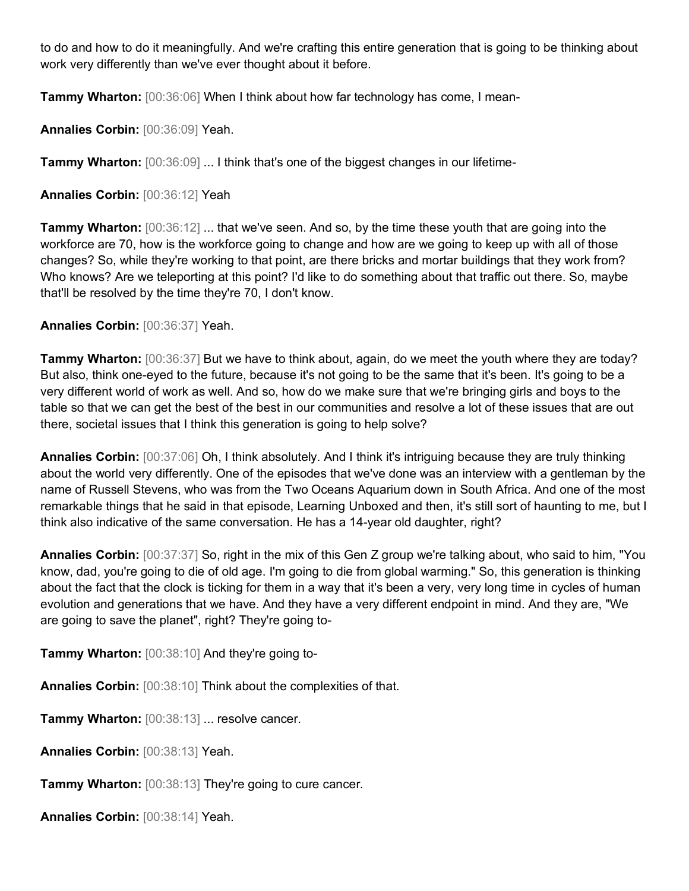to do and how to do it meaningfully. And we're crafting this entire generation that is going to be thinking about work very differently than we've ever thought about it before.

**Tammy Wharton:** [00:36:06] When I think about how far technology has come, I mean-

**Annalies Corbin:** [00:36:09] Yeah.

**Tammy Wharton:**  $[00:36:09]$  ... I think that's one of the biggest changes in our lifetime-

**Annalies Corbin:** [00:36:12] Yeah

**Tammy Wharton:**  $[00:36:12]$  ... that we've seen. And so, by the time these youth that are going into the workforce are 70, how is the workforce going to change and how are we going to keep up with all of those changes? So, while they're working to that point, are there bricks and mortar buildings that they work from? Who knows? Are we teleporting at this point? I'd like to do something about that traffic out there. So, maybe that'll be resolved by the time they're 70, I don't know.

**Annalies Corbin:** [00:36:37] Yeah.

**Tammy Wharton:** [00:36:37] But we have to think about, again, do we meet the youth where they are today? But also, think one-eyed to the future, because it's not going to be the same that it's been. It's going to be a very different world of work as well. And so, how do we make sure that we're bringing girls and boys to the table so that we can get the best of the best in our communities and resolve a lot of these issues that are out there, societal issues that I think this generation is going to help solve?

**Annalies Corbin:** [00:37:06] Oh, I think absolutely. And I think it's intriguing because they are truly thinking about the world very differently. One of the episodes that we've done was an interview with a gentleman by the name of Russell Stevens, who was from the Two Oceans Aquarium down in South Africa. And one of the most remarkable things that he said in that episode, Learning Unboxed and then, it's still sort of haunting to me, but I think also indicative of the same conversation. He has a 14-year old daughter, right?

**Annalies Corbin:** [00:37:37] So, right in the mix of this Gen Z group we're talking about, who said to him, "You know, dad, you're going to die of old age. I'm going to die from global warming." So, this generation is thinking about the fact that the clock is ticking for them in a way that it's been a very, very long time in cycles of human evolution and generations that we have. And they have a very different endpoint in mind. And they are, "We are going to save the planet", right? They're going to-

**Tammy Wharton:** [00:38:10] And they're going to-

**Annalies Corbin:** [00:38:10] Think about the complexities of that.

**Tammy Wharton:** [00:38:13] ... resolve cancer.

**Annalies Corbin:** [00:38:13] Yeah.

**Tammy Wharton:** [00:38:13] They're going to cure cancer.

**Annalies Corbin:** [00:38:14] Yeah.